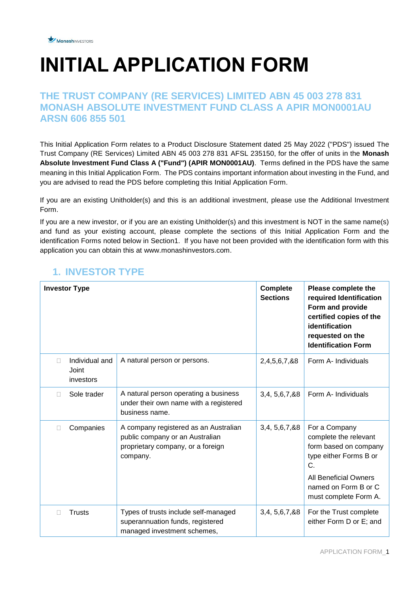# **INITIAL APPLICATION FORM**

#### **THE TRUST COMPANY (RE SERVICES) LIMITED ABN 45 003 278 831 MONASH ABSOLUTE INVESTMENT FUND CLASS A APIR MON0001AU ARSN 606 855 501**

This Initial Application Form relates to a Product Disclosure Statement dated 25 May 2022 ("PDS") issued The Trust Company (RE Services) Limited ABN 45 003 278 831 AFSL 235150, for the offer of units in the **Monash Absolute Investment Fund Class A ("Fund") (APIR MON0001AU)**. Terms defined in the PDS have the same meaning in this Initial Application Form. The PDS contains important information about investing in the Fund, and you are advised to read the PDS before completing this Initial Application Form.

If you are an existing Unitholder(s) and this is an additional investment, please use the Additional Investment Form.

If you are a new investor, or if you are an existing Unitholder(s) and this investment is NOT in the same name(s) and fund as your existing account, please complete the sections of this Initial Application Form and the identification Forms noted below in Section1. If you have not been provided with the identification form with this application you can obtain this at www.monashinvestors.com.

|              | <b>Investor Type</b>                 |                                                                                                                           | <b>Complete</b><br><b>Sections</b> | Please complete the<br>required Identification<br>Form and provide<br>certified copies of the<br>identification<br>requested on the<br><b>Identification Form</b>                |
|--------------|--------------------------------------|---------------------------------------------------------------------------------------------------------------------------|------------------------------------|----------------------------------------------------------------------------------------------------------------------------------------------------------------------------------|
|              | Individual and<br>Joint<br>investors | A natural person or persons.                                                                                              | 2,4,5,6,7,&8                       | Form A- Individuals                                                                                                                                                              |
| $\mathbf{L}$ | Sole trader                          | A natural person operating a business<br>under their own name with a registered<br>business name.                         | 3,4, 5,6, 7, 88                    | Form A- Individuals                                                                                                                                                              |
|              | Companies                            | A company registered as an Australian<br>public company or an Australian<br>proprietary company, or a foreign<br>company. | 3,4, 5, 6, 7, 8, 8                 | For a Company<br>complete the relevant<br>form based on company<br>type either Forms B or<br>C.<br><b>All Beneficial Owners</b><br>named on Form B or C<br>must complete Form A. |
|              | <b>Trusts</b>                        | Types of trusts include self-managed<br>superannuation funds, registered<br>managed investment schemes,                   | 3,4, 5,6, 7, & 8                   | For the Trust complete<br>either Form D or E; and                                                                                                                                |

### **1. INVESTOR TYPE**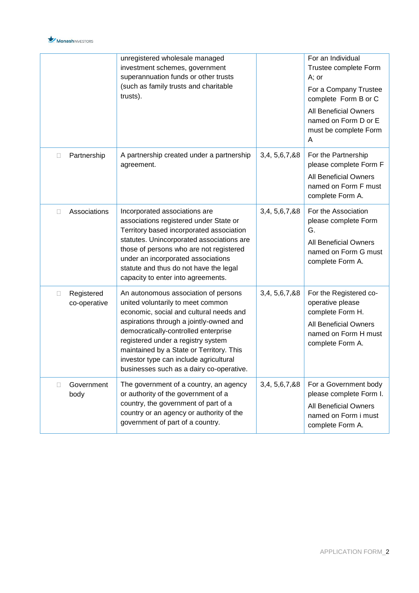

|                                 | unregistered wholesale managed<br>investment schemes, government<br>trusts). | superannuation funds or other trusts<br>(such as family trusts and charitable                                                                                                                                                                                                                                                                                                   |                  | For an Individual<br>Trustee complete Form<br>A; or<br>For a Company Trustee<br>complete Form B or C<br><b>All Beneficial Owners</b><br>named on Form D or E<br>must be complete Form<br>A |
|---------------------------------|------------------------------------------------------------------------------|---------------------------------------------------------------------------------------------------------------------------------------------------------------------------------------------------------------------------------------------------------------------------------------------------------------------------------------------------------------------------------|------------------|--------------------------------------------------------------------------------------------------------------------------------------------------------------------------------------------|
| Partnership<br>$\mathbb{L}$     | agreement.                                                                   | A partnership created under a partnership                                                                                                                                                                                                                                                                                                                                       | 3,4, 5,6,7, &8   | For the Partnership<br>please complete Form F<br><b>All Beneficial Owners</b><br>named on Form F must<br>complete Form A.                                                                  |
| Associations<br>□               | Incorporated associations are                                                | associations registered under State or<br>Territory based incorporated association<br>statutes. Unincorporated associations are<br>those of persons who are not registered<br>under an incorporated associations<br>statute and thus do not have the legal<br>capacity to enter into agreements.                                                                                | 3,4, 5,6,7, &8   | For the Association<br>please complete Form<br>G.<br><b>All Beneficial Owners</b><br>named on Form G must<br>complete Form A.                                                              |
| Registered<br>□<br>co-operative |                                                                              | An autonomous association of persons<br>united voluntarily to meet common<br>economic, social and cultural needs and<br>aspirations through a jointly-owned and<br>democratically-controlled enterprise<br>registered under a registry system<br>maintained by a State or Territory. This<br>investor type can include agricultural<br>businesses such as a dairy co-operative. | 3,4, 5,6, 7, & 8 | For the Registered co-<br>operative please<br>complete Form H.<br><b>All Beneficial Owners</b><br>named on Form H must<br>complete Form A.                                                 |
| Government<br>П<br>body         | government of part of a country.                                             | The government of a country, an agency<br>or authority of the government of a<br>country, the government of part of a<br>country or an agency or authority of the                                                                                                                                                                                                               | 3,4, 5,6,7, &8   | For a Government body<br>please complete Form I.<br><b>All Beneficial Owners</b><br>named on Form i must<br>complete Form A.                                                               |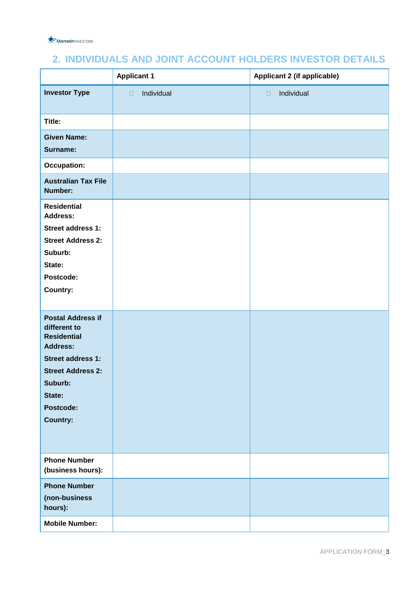

#### **2. INDIVIDUALS AND JOINT ACCOUNT HOLDERS INVESTOR DETAILS**

|                                                                                                                                                                                         | <b>Applicant 1</b>   | <b>Applicant 2 (if applicable)</b> |
|-----------------------------------------------------------------------------------------------------------------------------------------------------------------------------------------|----------------------|------------------------------------|
| <b>Investor Type</b>                                                                                                                                                                    | Individual<br>$\Box$ | Individual<br>$\Box$               |
| Title:                                                                                                                                                                                  |                      |                                    |
| <b>Given Name:</b>                                                                                                                                                                      |                      |                                    |
| Surname:                                                                                                                                                                                |                      |                                    |
| <b>Occupation:</b>                                                                                                                                                                      |                      |                                    |
| <b>Australian Tax File</b><br>Number:                                                                                                                                                   |                      |                                    |
| <b>Residential</b><br><b>Address:</b><br><b>Street address 1:</b><br><b>Street Address 2:</b><br>Suburb:<br>State:<br>Postcode:<br>Country:                                             |                      |                                    |
| <b>Postal Address if</b><br>different to<br><b>Residential</b><br><b>Address:</b><br><b>Street address 1:</b><br><b>Street Address 2:</b><br>Suburb:<br>State:<br>Postcode:<br>Country: |                      |                                    |
| <b>Phone Number</b><br>(business hours):                                                                                                                                                |                      |                                    |
| <b>Phone Number</b><br>(non-business<br>hours):                                                                                                                                         |                      |                                    |
| <b>Mobile Number:</b>                                                                                                                                                                   |                      |                                    |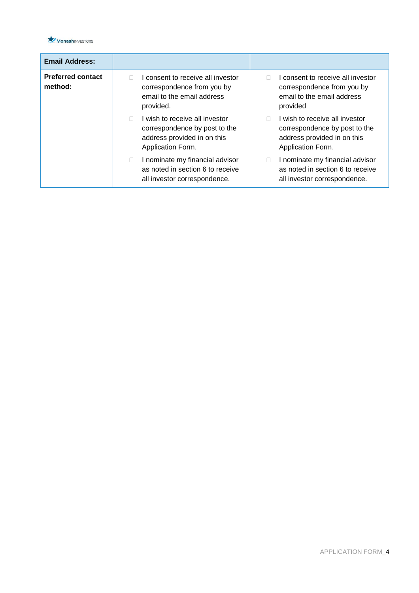

| <b>Email Address:</b>               |                                                                                                                     |                                                                                                                     |
|-------------------------------------|---------------------------------------------------------------------------------------------------------------------|---------------------------------------------------------------------------------------------------------------------|
| <b>Preferred contact</b><br>method: | I consent to receive all investor<br>correspondence from you by<br>email to the email address<br>provided.          | I consent to receive all investor<br>correspondence from you by<br>email to the email address<br>provided           |
|                                     | I wish to receive all investor<br>correspondence by post to the<br>address provided in on this<br>Application Form. | I wish to receive all investor<br>correspondence by post to the<br>address provided in on this<br>Application Form. |
|                                     | I nominate my financial advisor<br>П<br>as noted in section 6 to receive<br>all investor correspondence.            | I nominate my financial advisor<br>П<br>as noted in section 6 to receive<br>all investor correspondence.            |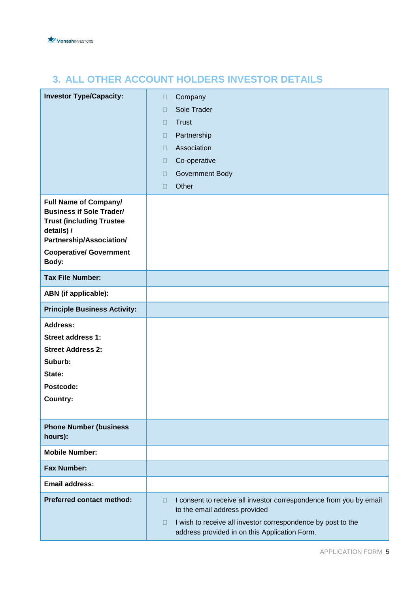

## **3. ALL OTHER ACCOUNT HOLDERS INVESTOR DETAILS**

| <b>Investor Type/Capacity:</b>                                                                                                               | Company<br>$\Box$                                                                                                       |
|----------------------------------------------------------------------------------------------------------------------------------------------|-------------------------------------------------------------------------------------------------------------------------|
|                                                                                                                                              | Sole Trader<br>$\Box$                                                                                                   |
|                                                                                                                                              | <b>Trust</b><br>$\Box$                                                                                                  |
|                                                                                                                                              | Partnership<br>$\Box$                                                                                                   |
|                                                                                                                                              | Association<br>$\Box$                                                                                                   |
|                                                                                                                                              | Co-operative<br>$\Box$                                                                                                  |
|                                                                                                                                              | Government Body<br>$\Box$                                                                                               |
|                                                                                                                                              | Other<br>$\Box$                                                                                                         |
| <b>Full Name of Company/</b><br><b>Business if Sole Trader/</b><br><b>Trust (including Trustee</b><br>details) /<br>Partnership/Association/ |                                                                                                                         |
| <b>Cooperative/ Government</b><br>Body:                                                                                                      |                                                                                                                         |
| <b>Tax File Number:</b>                                                                                                                      |                                                                                                                         |
| <b>ABN</b> (if applicable):                                                                                                                  |                                                                                                                         |
| <b>Principle Business Activity:</b>                                                                                                          |                                                                                                                         |
| <b>Address:</b>                                                                                                                              |                                                                                                                         |
| Street address 1:                                                                                                                            |                                                                                                                         |
| <b>Street Address 2:</b>                                                                                                                     |                                                                                                                         |
| Suburb:<br>State:                                                                                                                            |                                                                                                                         |
| Postcode:                                                                                                                                    |                                                                                                                         |
| <b>Country:</b>                                                                                                                              |                                                                                                                         |
|                                                                                                                                              |                                                                                                                         |
| <b>Phone Number (business</b><br>hours):                                                                                                     |                                                                                                                         |
| <b>Mobile Number:</b>                                                                                                                        |                                                                                                                         |
| <b>Fax Number:</b>                                                                                                                           |                                                                                                                         |
| <b>Email address:</b>                                                                                                                        |                                                                                                                         |
| <b>Preferred contact method:</b>                                                                                                             | I consent to receive all investor correspondence from you by email<br>$\Box$<br>to the email address provided           |
|                                                                                                                                              | I wish to receive all investor correspondence by post to the<br>$\Box$<br>address provided in on this Application Form. |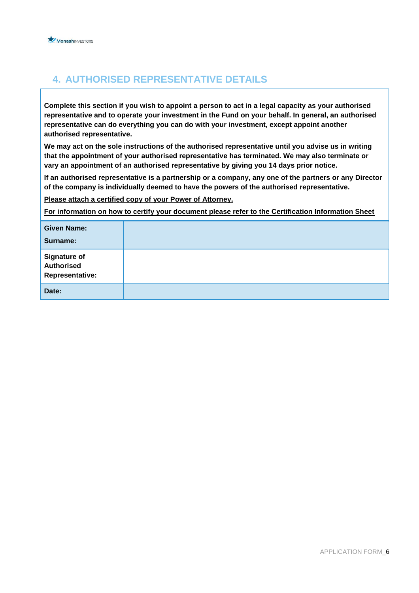

#### **4. AUTHORISED REPRESENTATIVE DETAILS**

**Complete this section if you wish to appoint a person to act in a legal capacity as your authorised representative and to operate your investment in the Fund on your behalf. In general, an authorised representative can do everything you can do with your investment, except appoint another authorised representative.**

**We may act on the sole instructions of the authorised representative until you advise us in writing that the appointment of your authorised representative has terminated. We may also terminate or vary an appointment of an authorised representative by giving you 14 days prior notice.**

**If an authorised representative is a partnership or a company, any one of the partners or any Director of the company is individually deemed to have the powers of the authorised representative.**

**Please attach a certified copy of your Power of Attorney.**

**For information on how to certify your document please refer to the Certification Information Sheet**

| <b>Given Name:</b><br>Surname:                                     |  |
|--------------------------------------------------------------------|--|
| <b>Signature of</b><br><b>Authorised</b><br><b>Representative:</b> |  |
| Date:                                                              |  |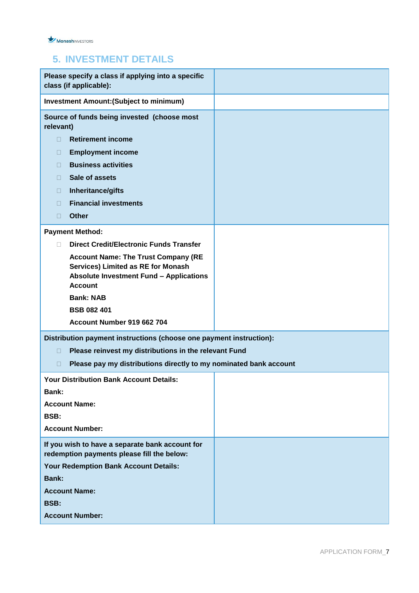#### **5. INVESTMENT DETAILS**

| Please specify a class if applying into a specific<br>class (if applicable):         |  |  |  |
|--------------------------------------------------------------------------------------|--|--|--|
| <b>Investment Amount: (Subject to minimum)</b>                                       |  |  |  |
| Source of funds being invested (choose most<br>relevant)                             |  |  |  |
| <b>Retirement income</b><br>П                                                        |  |  |  |
| <b>Employment income</b><br>O                                                        |  |  |  |
| <b>Business activities</b><br>$\Box$                                                 |  |  |  |
| Sale of assets<br>$\Box$                                                             |  |  |  |
| Inheritance/gifts<br>$\Box$                                                          |  |  |  |
| <b>Financial investments</b><br>П                                                    |  |  |  |
| <b>Other</b><br>П                                                                    |  |  |  |
| <b>Payment Method:</b>                                                               |  |  |  |
| <b>Direct Credit/Electronic Funds Transfer</b><br>П.                                 |  |  |  |
| <b>Account Name: The Trust Company (RE</b>                                           |  |  |  |
| Services) Limited as RE for Monash<br><b>Absolute Investment Fund - Applications</b> |  |  |  |
| <b>Account</b>                                                                       |  |  |  |
| <b>Bank: NAB</b>                                                                     |  |  |  |
| <b>BSB 082 401</b>                                                                   |  |  |  |
| Account Number 919 662 704                                                           |  |  |  |
| Distribution payment instructions (choose one payment instruction):                  |  |  |  |
| Please reinvest my distributions in the relevant Fund<br>П                           |  |  |  |
| Please pay my distributions directly to my nominated bank account<br>П               |  |  |  |
| <b>Your Distribution Bank Account Details:</b>                                       |  |  |  |
| Bank:                                                                                |  |  |  |
| <b>Account Name:</b>                                                                 |  |  |  |
| BSB:                                                                                 |  |  |  |
| <b>Account Number:</b>                                                               |  |  |  |
| If you wish to have a separate bank account for                                      |  |  |  |
| redemption payments please fill the below:                                           |  |  |  |
| Your Redemption Bank Account Details:                                                |  |  |  |
| <b>Bank:</b>                                                                         |  |  |  |
| <b>Account Name:</b>                                                                 |  |  |  |
| <b>BSB:</b>                                                                          |  |  |  |
| <b>Account Number:</b>                                                               |  |  |  |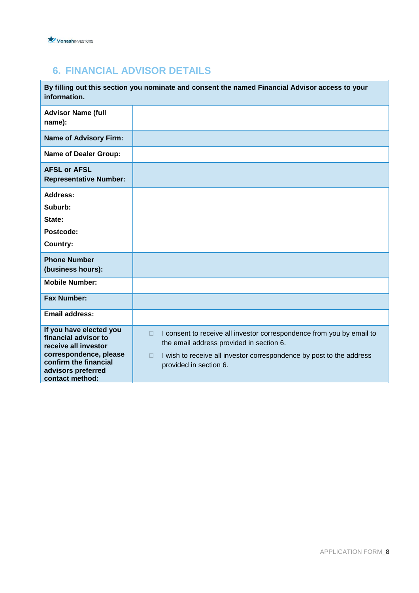

## **6. FINANCIAL ADVISOR DETAILS**

| information.                                                                                                                                                        | By filling out this section you nominate and consent the named Financial Advisor access to your                                                                                                                                         |
|---------------------------------------------------------------------------------------------------------------------------------------------------------------------|-----------------------------------------------------------------------------------------------------------------------------------------------------------------------------------------------------------------------------------------|
| <b>Advisor Name (full</b><br>name):                                                                                                                                 |                                                                                                                                                                                                                                         |
| <b>Name of Advisory Firm:</b>                                                                                                                                       |                                                                                                                                                                                                                                         |
| <b>Name of Dealer Group:</b>                                                                                                                                        |                                                                                                                                                                                                                                         |
| <b>AFSL or AFSL</b><br><b>Representative Number:</b>                                                                                                                |                                                                                                                                                                                                                                         |
| <b>Address:</b><br>Suburb:<br>State:<br>Postcode:<br><b>Country:</b>                                                                                                |                                                                                                                                                                                                                                         |
| <b>Phone Number</b><br>(business hours):                                                                                                                            |                                                                                                                                                                                                                                         |
| <b>Mobile Number:</b>                                                                                                                                               |                                                                                                                                                                                                                                         |
| <b>Fax Number:</b>                                                                                                                                                  |                                                                                                                                                                                                                                         |
| <b>Email address:</b>                                                                                                                                               |                                                                                                                                                                                                                                         |
| If you have elected you<br>financial advisor to<br>receive all investor<br>correspondence, please<br>confirm the financial<br>advisors preferred<br>contact method: | I consent to receive all investor correspondence from you by email to<br>$\Box$<br>the email address provided in section 6.<br>I wish to receive all investor correspondence by post to the address<br>$\Box$<br>provided in section 6. |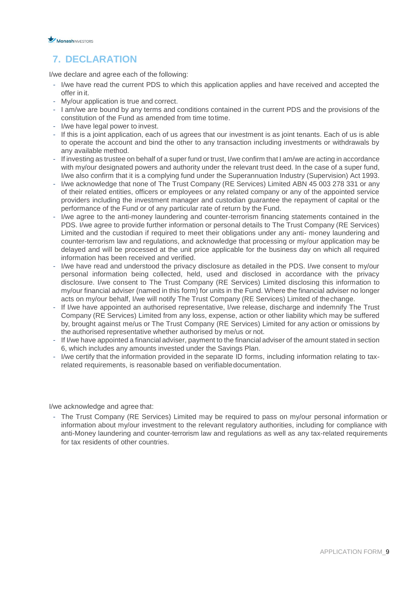

### **7. DECLARATION**

I/we declare and agree each of the following:

- I/we have read the current PDS to which this application applies and have received and accepted the offer in it.
- My/our application is true and correct.
- I am/we are bound by any terms and conditions contained in the current PDS and the provisions of the constitution of the Fund as amended from time totime.
- I/we have legal power to invest.
- If this is a joint application, each of us agrees that our investment is as joint tenants. Each of us is able to operate the account and bind the other to any transaction including investments or withdrawals by any available method.
- If investing as trustee on behalf of a super fund or trust, I/we confirm that I am/we are acting in accordance with my/our designated powers and authority under the relevant trust deed. In the case of a super fund, I/we also confirm that it is a complying fund under the Superannuation Industry (Supervision) Act 1993.
- I/we acknowledge that none of The Trust Company (RE Services) Limited ABN 45 003 278 331 or any of their related entities, officers or employees or any related company or any of the appointed service providers including the investment manager and custodian guarantee the repayment of capital or the performance of the Fund or of any particular rate of return by the Fund.
- I/we agree to the anti-money laundering and counter-terrorism financing statements contained in the PDS. I/we agree to provide further information or personal details to The Trust Company (RE Services) Limited and the custodian if required to meet their obligations under any anti- money laundering and counter-terrorism law and regulations, and acknowledge that processing or my/our application may be delayed and will be processed at the unit price applicable for the business day on which all required information has been received and verified.
- I/we have read and understood the privacy disclosure as detailed in the PDS. I/we consent to my/our personal information being collected, held, used and disclosed in accordance with the privacy disclosure. I/we consent to The Trust Company (RE Services) Limited disclosing this information to my/our financial adviser (named in this form) for units in the Fund. Where the financial adviser no longer acts on my/our behalf, I/we will notify The Trust Company (RE Services) Limited of thechange.
- If I/we have appointed an authorised representative, I/we release, discharge and indemnify The Trust Company (RE Services) Limited from any loss, expense, action or other liability which may be suffered by, brought against me/us or The Trust Company (RE Services) Limited for any action or omissions by the authorised representative whether authorised by me/us or not.
- If I/we have appointed a financial adviser, payment to the financial adviser of the amount stated in section 6, which includes any amounts invested under the Savings Plan.
- I/we certify that the information provided in the separate ID forms, including information relating to taxrelated requirements, is reasonable based on verifiabledocumentation.

I/we acknowledge and agree that:

- The Trust Company (RE Services) Limited may be required to pass on my/our personal information or information about my/our investment to the relevant regulatory authorities, including for compliance with anti-Money laundering and counter-terrorism law and regulations as well as any tax-related requirements for tax residents of other countries.